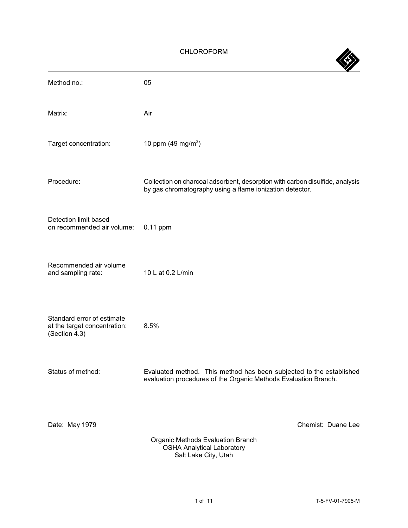# CHLOROFORM

| Method no.:                                                                 | 05                                                                                                                                       |
|-----------------------------------------------------------------------------|------------------------------------------------------------------------------------------------------------------------------------------|
| Matrix:                                                                     | Air                                                                                                                                      |
| Target concentration:                                                       | 10 ppm $(49 \text{ mg/m}^3)$                                                                                                             |
| Procedure:                                                                  | Collection on charcoal adsorbent, desorption with carbon disulfide, analysis<br>by gas chromatography using a flame ionization detector. |
| Detection limit based<br>on recommended air volume:                         | $0.11$ ppm                                                                                                                               |
| Recommended air volume<br>and sampling rate:                                | 10 L at 0.2 L/min                                                                                                                        |
| Standard error of estimate<br>at the target concentration:<br>(Section 4.3) | 8.5%                                                                                                                                     |
| Status of method:                                                           | Evaluated method. This method has been subjected to the established<br>evaluation procedures of the Organic Methods Evaluation Branch.   |
| Date: May 1979                                                              | Chemist: Duane Lee<br>Organic Methods Evaluation Branch<br><b>OSHA Analytical Laboratory</b><br>Salt Lake City, Utah                     |

**SS**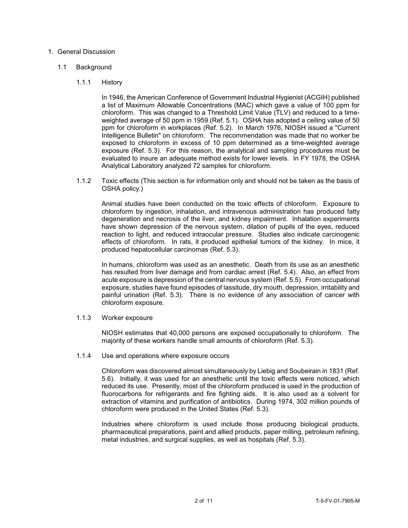## 1. General Discussion

### 1.1 Background

### 1.1.1 History

In 1946, the American Conference of Government Industrial Hygienist (ACGIH) published a list of Maximum Allowable Concentrations (MAC) which gave a value of 100 ppm for chloroform. This was changed to a Threshold Limit Value (TLV) and reduced to a timeweighted average of 50 ppm in 1959 (Ref. 5.1). OSHA has adopted a ceiling value of 50 ppm for chloroform in workplaces (Ref. 5.2). In March 1976, NIOSH issued a "Current Intelligence Bulletin" on chloroform. The recommendation was made that no worker be exposed to chloroform in excess of 10 ppm determined as a time-weighted average exposure (Ref. 5.3). For this reason, the analytical and sampling procedures must be evaluated to insure an adequate method exists for lower levels. In FY 1978, the OSHA Analytical Laboratory analyzed 72 samples for chloroform.

1.1.2 Toxic effects (This section is for information only and should not be taken as the basis of OSHA policy.)

Animal studies have been conducted on the toxic effects of chloroform. Exposure to chloroform by ingestion, inhalation, and intravenous administration has produced fatty degeneration and necrosis of the liver, and kidney impairment. Inhalation experiments have shown depression of the nervous system, dilation of pupils of the eyes, reduced reaction to light, and reduced intraocular pressure. Studies also indicate carcinogenic effects of chloroform. In rats, it produced epithelial tumors of the kidney. In mice, it produced hepatocellular carcinomas (Ref. 5.3).

In humans, chloroform was used as an anesthetic. Death from its use as an anesthetic has resulted from liver damage and from cardiac arrest (Ref. 5.4). Also, an effect from acute exposure is depression of the central nervous system (Ref. 5.5). From occupational exposure, studies have found episodes of lassitude, dry mouth, depression, irritability and painful urination (Ref. 5.3). There is no evidence of any association of cancer with chloroform exposure.

1.1.3 Worker exposure

NIOSH estimates that 40,000 persons are exposed occupationally to chloroform. The majority of these workers handle small amounts of chloroform (Ref. 5.3).

#### 1.1.4 Use and operations where exposure occurs

Chloroform was discovered almost simultaneously by Liebig and Soubeirain in 1831 (Ref. 5.6). Initially, it was used for an anesthetic until the toxic effects were noticed, which reduced its use. Presently, most of the chloroform produced is used in the production of fluorocarbons for refrigerants and fire fighting aids. It is also used as a solvent for extraction of vitamins and purification of antibiotics. During 1974, 302 million pounds of chloroform were produced in the United States (Ref. 5.3).

Industries where chloroform is used include those producing biological products, pharmaceutical preparations, paint and allied products, paper milling, petroleum refining, metal industries, and surgical supplies, as well as hospitals (Ref. 5.3).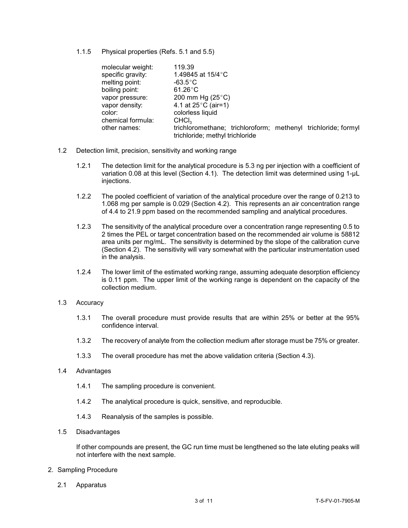1.1.5 Physical properties (Refs. 5.1 and 5.5)

| molecular weight: | 119.39                                                        |
|-------------------|---------------------------------------------------------------|
| specific gravity: | 1.49845 at $15/4$ °C                                          |
| melting point:    | $-63.5^{\circ}$ C                                             |
| boiling point:    | $61.26^{\circ}$ C                                             |
| vapor pressure:   | 200 mm Hg $(25^{\circ}C)$                                     |
| vapor density:    | 4.1 at $25^{\circ}$ C (air=1)                                 |
| color:            | colorless liquid                                              |
| chemical formula: | CHCI <sub>3</sub>                                             |
| other names:      | trichloromethane; trichloroform; methenyl trichloride; formyl |
|                   | trichloride; methyl trichloride                               |

- 1.2 Detection limit, precision, sensitivity and working range
	- 1.2.1 The detection limit for the analytical procedure is 5.3 ng per injection with a coefficient of variation 0.08 at this level (Section 4.1). The detection limit was determined using 1-µL injections.
	- 1.2.2 The pooled coefficient of variation of the analytical procedure over the range of 0.213 to 1.068 mg per sample is 0.029 (Section 4.2). This represents an air concentration range of 4.4 to 21.9 ppm based on the recommended sampling and analytical procedures.
	- 1.2.3 The sensitivity of the analytical procedure over a concentration range representing 0.5 to 2 times the PEL or target concentration based on the recommended air volume is 58812 area units per mg/mL. The sensitivity is determined by the slope of the calibration curve (Section 4.2). The sensitivity will vary somewhat with the particular instrumentation used in the analysis.
	- 1.2.4 The lower limit of the estimated working range, assuming adequate desorption efficiency is 0.11 ppm. The upper limit of the working range is dependent on the capacity of the collection medium.
- 1.3 Accuracy
	- 1.3.1 The overall procedure must provide results that are within 25% or better at the 95% confidence interval.
	- 1.3.2 The recovery of analyte from the collection medium after storage must be 75% or greater.
	- 1.3.3 The overall procedure has met the above validation criteria (Section 4.3).

## 1.4 Advantages

- 1.4.1 The sampling procedure is convenient.
- 1.4.2 The analytical procedure is quick, sensitive, and reproducible.
- 1.4.3 Reanalysis of the samples is possible.
- 1.5 Disadvantages

If other compounds are present, the GC run time must be lengthened so the late eluting peaks will not interfere with the next sample.

- 2. Sampling Procedure
	- 2.1 Apparatus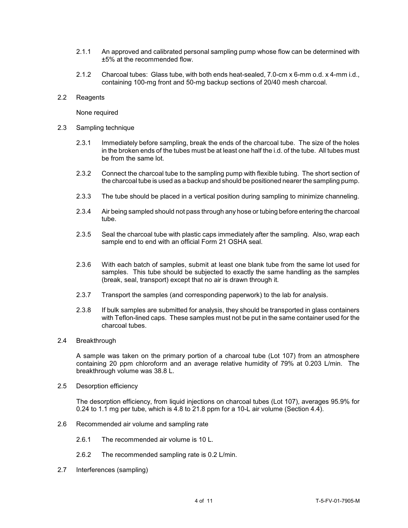- 2.1.1 An approved and calibrated personal sampling pump whose flow can be determined with ±5% at the recommended flow.
- 2.1.2 Charcoal tubes: Glass tube, with both ends heat-sealed, 7.0-cm x 6-mm o.d. x 4-mm i.d., containing 100-mg front and 50-mg backup sections of 20/40 mesh charcoal.
- 2.2 Reagents

None required

- 2.3 Sampling technique
	- 2.3.1 Immediately before sampling, break the ends of the charcoal tube. The size of the holes in the broken ends of the tubes must be at least one half the i.d. of the tube. All tubes must be from the same lot.
	- 2.3.2 Connect the charcoal tube to the sampling pump with flexible tubing. The short section of the charcoal tube is used as a backup and should be positioned nearer the sampling pump.
	- 2.3.3 The tube should be placed in a vertical position during sampling to minimize channeling.
	- 2.3.4 Air being sampled should not pass through any hose or tubing before entering the charcoal tube.
	- 2.3.5 Seal the charcoal tube with plastic caps immediately after the sampling. Also, wrap each sample end to end with an official Form 21 OSHA seal.
	- 2.3.6 With each batch of samples, submit at least one blank tube from the same lot used for samples. This tube should be subjected to exactly the same handling as the samples (break, seal, transport) except that no air is drawn through it.
	- 2.3.7 Transport the samples (and corresponding paperwork) to the lab for analysis.
	- 2.3.8 If bulk samples are submitted for analysis, they should be transported in glass containers with Teflon-lined caps. These samples must not be put in the same container used for the charcoal tubes.

## 2.4 Breakthrough

A sample was taken on the primary portion of a charcoal tube (Lot 107) from an atmosphere containing 20 ppm chloroform and an average relative humidity of 79% at 0.203 L/min. The breakthrough volume was 38.8 L.

2.5 Desorption efficiency

The desorption efficiency, from liquid injections on charcoal tubes (Lot 107), averages 95.9% for 0.24 to 1.1 mg per tube, which is 4.8 to 21.8 ppm for a 10-L air volume (Section 4.4).

- 2.6 Recommended air volume and sampling rate
	- 2.6.1 The recommended air volume is 10 L.
	- 2.6.2 The recommended sampling rate is 0.2 L/min.
- 2.7 Interferences (sampling)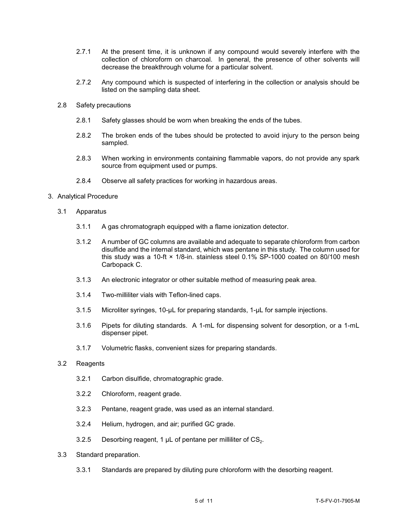- 2.7.1 At the present time, it is unknown if any compound would severely interfere with the collection of chloroform on charcoal. In general, the presence of other solvents will decrease the breakthrough volume for a particular solvent.
- 2.7.2 Any compound which is suspected of interfering in the collection or analysis should be listed on the sampling data sheet.
- 2.8 Safety precautions
	- 2.8.1 Safety glasses should be worn when breaking the ends of the tubes.
	- 2.8.2 The broken ends of the tubes should be protected to avoid injury to the person being sampled.
	- 2.8.3 When working in environments containing flammable vapors, do not provide any spark source from equipment used or pumps.
	- 2.8.4 Observe all safety practices for working in hazardous areas.
- 3. Analytical Procedure
	- 3.1 Apparatus
		- 3.1.1 A gas chromatograph equipped with a flame ionization detector.
		- 3.1.2 A number of GC columns are available and adequate to separate chloroform from carbon disulfide and the internal standard, which was pentane in this study. The column used for this study was a 10-ft × 1/8-in. stainless steel 0.1% SP-1000 coated on 80/100 mesh Carbopack C.
		- 3.1.3 An electronic integrator or other suitable method of measuring peak area.
		- 3.1.4 Two-milliliter vials with Teflon-lined caps.
		- 3.1.5 Microliter syringes, 10-µL for preparing standards, 1-µL for sample injections.
		- 3.1.6 Pipets for diluting standards. A 1-mL for dispensing solvent for desorption, or a 1-mL dispenser pipet.
		- 3.1.7 Volumetric flasks, convenient sizes for preparing standards.
	- 3.2 Reagents
		- 3.2.1 Carbon disulfide, chromatographic grade.
		- 3.2.2 Chloroform, reagent grade.
		- 3.2.3 Pentane, reagent grade, was used as an internal standard.
		- 3.2.4 Helium, hydrogen, and air; purified GC grade.
		- 3.2.5 Desorbing reagent, 1  $\mu$ L of pentane per milliliter of CS<sub>2</sub>.
	- 3.3 Standard preparation.
		- 3.3.1 Standards are prepared by diluting pure chloroform with the desorbing reagent.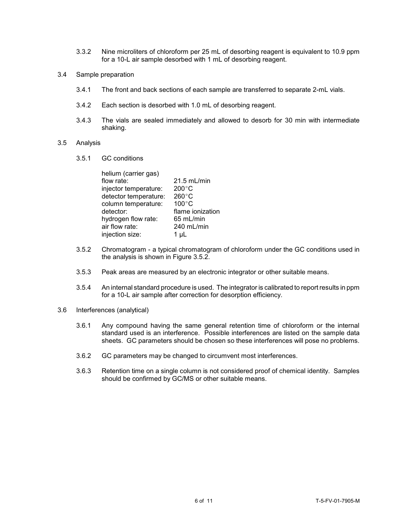- 3.3.2 Nine microliters of chloroform per 25 mL of desorbing reagent is equivalent to 10.9 ppm for a 10-L air sample desorbed with 1 mL of desorbing reagent.
- 3.4 Sample preparation
	- 3.4.1 The front and back sections of each sample are transferred to separate 2-mL vials.
	- 3.4.2 Each section is desorbed with 1.0 mL of desorbing reagent.
	- 3.4.3 The vials are sealed immediately and allowed to desorb for 30 min with intermediate shaking.

#### 3.5 Analysis

3.5.1 GC conditions

| helium (carrier gas)  |                  |
|-----------------------|------------------|
| flow rate:            | 21.5 mL/min      |
| injector temperature: | $200^{\circ}$ C  |
| detector temperature: | $260^{\circ}$ C  |
| column temperature:   | $100^{\circ}$ C  |
| detector:             | flame ionization |
| hydrogen flow rate:   | $65$ mL/min      |
| air flow rate:        | 240 mL/min       |
| injection size:       | 1 µL             |
|                       |                  |

- 3.5.2 Chromatogram a typical chromatogram of chloroform under the GC conditions used in the analysis is shown in Figure 3.5.2.
- 3.5.3 Peak areas are measured by an electronic integrator or other suitable means.
- 3.5.4 An internal standard procedure is used. The integrator is calibrated to report results in ppm for a 10-L air sample after correction for desorption efficiency.
- 3.6 Interferences (analytical)
	- 3.6.1 Any compound having the same general retention time of chloroform or the internal standard used is an interference. Possible interferences are listed on the sample data sheets. GC parameters should be chosen so these interferences will pose no problems.
	- 3.6.2 GC parameters may be changed to circumvent most interferences.
	- 3.6.3 Retention time on a single column is not considered proof of chemical identity. Samples should be confirmed by GC/MS or other suitable means.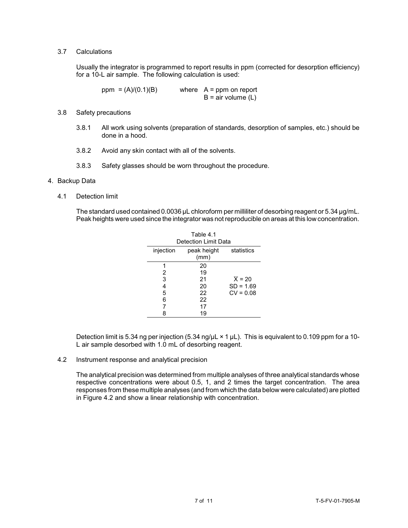## 3.7 Calculations

Usually the integrator is programmed to report results in ppm (corrected for desorption efficiency) for a 10-L air sample. The following calculation is used:

 $ppm = (A)/(0.1)(B)$  where  $A = ppm$  on report  $B = air$  volume  $(L)$ 

- 3.8 Safety precautions
	- 3.8.1 All work using solvents (preparation of standards, desorption of samples, etc.) should be done in a hood.
	- 3.8.2 Avoid any skin contact with all of the solvents.
	- 3.8.3 Safety glasses should be worn throughout the procedure.

### 4. Backup Data

4.1 Detection limit

The standard used contained 0.0036 µL chloroform per milliliter of desorbing reagent or 5.34 µg/mL. Peak heights were used since the integrator was not reproducible on areas at this low concentration.

| Table 4.1<br>Detection Limit Data |                     |                     |  |  |  |
|-----------------------------------|---------------------|---------------------|--|--|--|
| injection                         | peak height<br>(mm) | statistics          |  |  |  |
|                                   | 20                  |                     |  |  |  |
| 2                                 | 19                  |                     |  |  |  |
| 3                                 | 21                  | $\overline{X}$ = 20 |  |  |  |
| 4                                 | 20                  | $SD = 1.69$         |  |  |  |
| 5                                 | 22                  | $CV = 0.08$         |  |  |  |
| 6                                 | 22                  |                     |  |  |  |
| 7                                 | 17                  |                     |  |  |  |
| 8                                 | 19                  |                     |  |  |  |

Detection limit is 5.34 ng per injection (5.34 ng/ $\mu$ L  $\times$  1  $\mu$ L). This is equivalent to 0.109 ppm for a 10-L air sample desorbed with 1.0 mL of desorbing reagent.

4.2 Instrument response and analytical precision

The analytical precision was determined from multiple analyses of three analytical standards whose respective concentrations were about 0.5, 1, and 2 times the target concentration. The area responses from these multiple analyses (and from which the data below were calculated) are plotted in Figure 4.2 and show a linear relationship with concentration.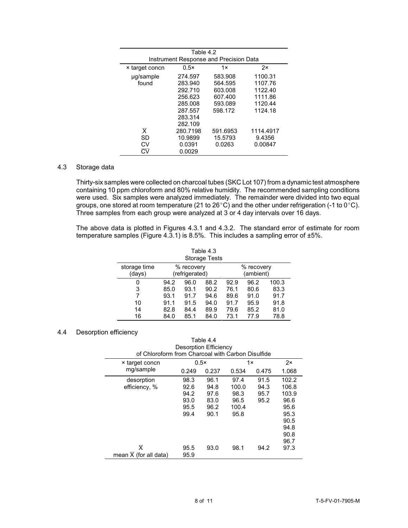| Table 4.2                              |          |          |           |  |  |  |
|----------------------------------------|----------|----------|-----------|--|--|--|
| Instrument Response and Precision Data |          |          |           |  |  |  |
| <b>× target concn</b>                  | 0.5x     | 1x       | 2x        |  |  |  |
| ug/sample                              | 274.597  | 583.908  | 1100.31   |  |  |  |
| found                                  | 283.940  | 564.595  | 1107.76   |  |  |  |
|                                        | 292.710  | 603.008  | 1122.40   |  |  |  |
|                                        | 256.623  | 607.400  | 1111.86   |  |  |  |
|                                        | 285.008  | 593.089  | 1120.44   |  |  |  |
|                                        | 287.557  | 598.172  | 1124.18   |  |  |  |
|                                        | 283.314  |          |           |  |  |  |
|                                        | 282.109  |          |           |  |  |  |
| $\overline{\mathsf{x}}$                | 280.7198 | 591.6953 | 1114.4917 |  |  |  |
| SD                                     | 10.9899  | 15.5793  | 9.4356    |  |  |  |
| CV                                     | 0.0391   | 0.0263   | 0.00847   |  |  |  |
| Cν                                     | 0.0029   |          |           |  |  |  |

## 4.3 Storage data

Thirty-six samples were collected on charcoal tubes (SKC Lot 107) from a dynamic test atmosphere containing 10 ppm chloroform and 80% relative humidity. The recommended sampling conditions were used. Six samples were analyzed immediately. The remainder were divided into two equal groups, one stored at room temperature (21 to 26°C) and the other under refrigeration (-1 to 0°C). Three samples from each group were analyzed at 3 or 4 day intervals over 16 days.

The above data is plotted in Figures 4.3.1 and 4.3.2. The standard error of estimate for room temperature samples (Figure 4.3.1) is 8.5%. This includes a sampling error of ±5%.

| Table 4.3<br><b>Storage Tests</b> |                              |      |      |                         |      |       |
|-----------------------------------|------------------------------|------|------|-------------------------|------|-------|
| storage time<br>(days)            | % recovery<br>(refrigerated) |      |      | % recovery<br>(ambient) |      |       |
| 0                                 | 94.2                         | 96.0 | 88.2 | 92.9                    | 96.2 | 100.3 |
| 3                                 | 85.0                         | 93.1 | 90.2 | 76.1                    | 80.6 | 83.3  |
| 7                                 | 93.1                         | 91.7 | 94.6 | 89.6                    | 91.0 | 91.7  |
| 10                                | 91.1                         | 91.5 | 94.0 | 91.7                    | 95.9 | 91.8  |
| 14                                | 82.8                         | 84.4 | 89.9 | 79.6                    | 85.2 | 81.0  |
| 16                                | 84.0                         | 85.1 | 84.0 | 73.1                    | 77.9 | 78.8  |

## 4.4 Desorption efficiency

| Table 4.4<br><b>Desorption Efficiency</b><br>of Chloroform from Charcoal with Carbon Disulfide |                                              |                                              |                                                |                              |                                                                                 |
|------------------------------------------------------------------------------------------------|----------------------------------------------|----------------------------------------------|------------------------------------------------|------------------------------|---------------------------------------------------------------------------------|
| × target concn                                                                                 | $0.5\times$                                  |                                              | 1x                                             |                              | 2x                                                                              |
| mg/sample                                                                                      | 0.249                                        | 0.237                                        | 0.534                                          | 0.475                        | 1.068                                                                           |
| desorption<br>efficiency, %                                                                    | 98.3<br>92.6<br>94.2<br>93.0<br>95.5<br>99.4 | 96.1<br>94.8<br>97.6<br>83.0<br>96.2<br>90.1 | 97.4<br>100.0<br>98.3<br>96.5<br>100.4<br>95.8 | 91.5<br>94.3<br>95.7<br>95.2 | 102.2<br>106.8<br>103.9<br>96.6<br>95.6<br>95.3<br>90.5<br>94.8<br>90.8<br>96.7 |
| $\overline{\mathsf{x}}$<br>mean $\overline{X}$ (for all data)                                  | 95.5<br>95.9                                 | 93.0                                         | 98.1                                           | 94.2                         | 97.3                                                                            |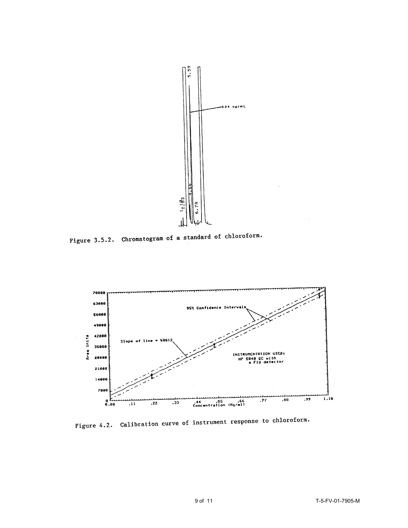

Figure 3.5.2. Chromatogram of a standard of chloroform.



Figure 4.2. Calibration curve of instrument response to chloroform.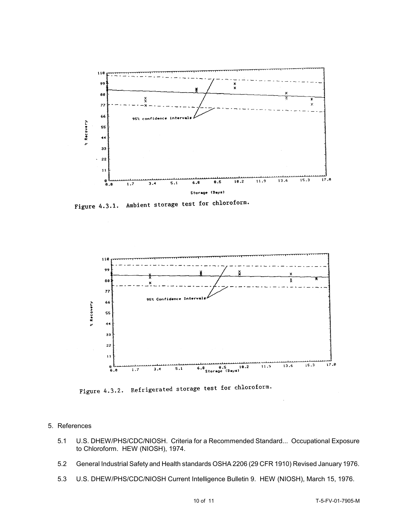

Figure 4.3.1. Ambient storage test for chloroform.



Figure 4.3.2. Refrigerated storage test for chloroform.

- 5. References
	- 5.1 U.S. DHEW/PHS/CDC/NIOSH. Criteria for a Recommended Standard... Occupational Exposure to Chloroform. HEW (NIOSH), 1974.
	- 5.2 General Industrial Safety and Health standards OSHA 2206 (29 CFR 1910) Revised January 1976.
	- 5.3 U.S. DHEW/PHS/CDC/NIOSH Current Intelligence Bulletin 9. HEW (NIOSH), March 15, 1976.